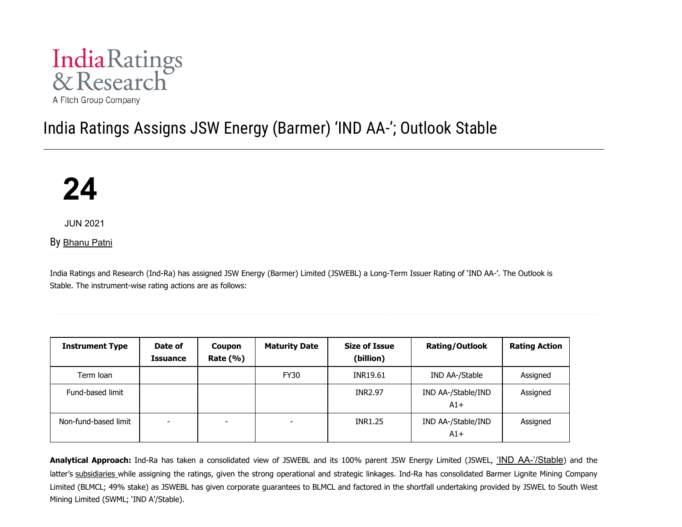

# India Ratings Assigns JSW Energy (Barmer) 'IND AA-'; Outlook Stable



JUN 2021

By [Bhanu Patni](https://www.indiaratings.co.in/Analyst?analystID=237&analystName=Bhanu%20Patni)

India Ratings and Research (Ind-Ra) has assigned JSW Energy (Barmer) Limited (JSWEBL) a Long-Term Issuer Rating of 'IND AA-'. The Outlook is Stable. The instrument-wise rating actions are as follows:

| <b>Instrument Type</b> | Date of<br>Issuance      | Coupon<br>Rate $(\% )$   | <b>Maturity Date</b> | <b>Size of Issue</b><br>(billion) | Rating/Outlook              | <b>Rating Action</b> |
|------------------------|--------------------------|--------------------------|----------------------|-----------------------------------|-----------------------------|----------------------|
| Term Ioan              |                          |                          | <b>FY30</b>          | INR19.61                          | IND AA-/Stable              | Assigned             |
| Fund-based limit       |                          |                          |                      | <b>INR2.97</b>                    | IND AA-/Stable/IND<br>$A1+$ | Assigned             |
| Non-fund-based limit   | $\overline{\phantom{0}}$ | $\overline{\phantom{a}}$ | ۰                    | <b>INR1.25</b>                    | IND AA-/Stable/IND<br>$A1+$ | Assigned             |

**Analytical Approach:** Ind-Ra has taken a consolidated view of JSWEBL and its 100% parent JSW Energy Limited (JSWEL, ['IND AA-'/Stable](https://www.indiaratings.co.in/PressRelease?pressReleaseID=53794&title=India%20Ratings%20Assigns%20JSW%20Energy%20and%20its%20NCDs%20%E2%80%98IND%20AA-%E2%80%99%2FStable)) and the latter's [subsidiaries](https://indiaratings.co.in/Uploads/Others/Consolidated%20Subs/JSWEL.pdf) while assigning the ratings, given the strong operational and strategic linkages. Ind-Ra has consolidated Barmer Lignite Mining Company Limited (BLMCL; 49% stake) as JSWEBL has given corporate guarantees to BLMCL and factored in the shortfall undertaking provided by JSWEL to South West Mining Limited (SWML; 'IND A'/Stable).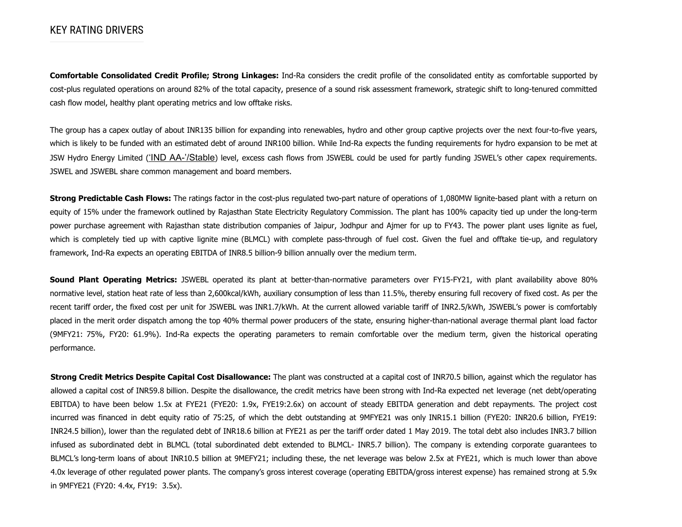## KEY RATING DRIVERS

**Comfortable Consolidated Credit Profile; Strong Linkages:** Ind-Ra considers the credit profile of the consolidated entity as comfortable supported by cost-plus regulated operations on around 82% of the total capacity, presence of a sound risk assessment framework, strategic shift to long-tenured committed cash flow model, healthy plant operating metrics and low offtake risks.

The group has a capex outlay of about INR135 billion for expanding into renewables, hydro and other group captive projects over the next four-to-five years, which is likely to be funded with an estimated debt of around INR100 billion. While Ind-Ra expects the funding requirements for hydro expansion to be met at JSW Hydro Energy Limited (['IND AA-'/Stable](https://www.indiaratings.co.in/PressRelease?pressReleaseID=54059&title=India%20Ratings%20Assigns%20JSW%20Hydro%20Energy%20%E2%80%98IND%20AA-%E2%80%99%3B%20Outlook%20Stable%20)) level, excess cash flows from JSWEBL could be used for partly funding JSWEL's other capex requirements. JSWEL and JSWEBL share common management and board members.

**Strong Predictable Cash Flows:** The ratings factor in the cost-plus regulated two-part nature of operations of 1,080MW lignite-based plant with a return on equity of 15% under the framework outlined by Rajasthan State Electricity Regulatory Commission. The plant has 100% capacity tied up under the long-term power purchase agreement with Rajasthan state distribution companies of Jaipur, Jodhpur and Ajmer for up to FY43. The power plant uses lignite as fuel, which is completely tied up with captive lignite mine (BLMCL) with complete pass-through of fuel cost. Given the fuel and offtake tie-up, and regulatory framework, Ind-Ra expects an operating EBITDA of INR8.5 billion-9 billion annually over the medium term.

**Sound Plant Operating Metrics:** JSWEBL operated its plant at better-than-normative parameters over FY15-FY21, with plant availability above 80% normative level, station heat rate of less than 2,600kcal/kWh, auxiliary consumption of less than 11.5%, thereby ensuring full recovery of fixed cost. As per the recent tariff order, the fixed cost per unit for JSWEBL was INR1.7/kWh. At the current allowed variable tariff of INR2.5/kWh, JSWEBL's power is comfortably placed in the merit order dispatch among the top 40% thermal power producers of the state, ensuring higher-than-national average thermal plant load factor (9MFY21: 75%, FY20: 61.9%). Ind-Ra expects the operating parameters to remain comfortable over the medium term, given the historical operating performance.

**Strong Credit Metrics Despite Capital Cost Disallowance:** The plant was constructed at a capital cost of INR70.5 billion, against which the regulator has allowed a capital cost of INR59.8 billion. Despite the disallowance, the credit metrics have been strong with Ind-Ra expected net leverage (net debt/operating EBITDA) to have been below 1.5x at FYE21 (FYE20: 1.9x, FYE19:2.6x) on account of steady EBITDA generation and debt repayments. The project cost incurred was financed in debt equity ratio of 75:25, of which the debt outstanding at 9MFYE21 was only INR15.1 billion (FYE20: INR20.6 billion, FYE19: INR24.5 billion), lower than the regulated debt of INR18.6 billion at FYE21 as per the tariff order dated 1 May 2019. The total debt also includes INR3.7 billion infused as subordinated debt in BLMCL (total subordinated debt extended to BLMCL- INR5.7 billion). The company is extending corporate guarantees to BLMCL's long-term loans of about INR10.5 billion at 9MEFY21; including these, the net leverage was below 2.5x at FYE21, which is much lower than above 4.0x leverage of other regulated power plants. The company's gross interest coverage (operating EBITDA/gross interest expense) has remained strong at 5.9x in 9MFYE21 (FY20: 4.4x, FY19: 3.5x).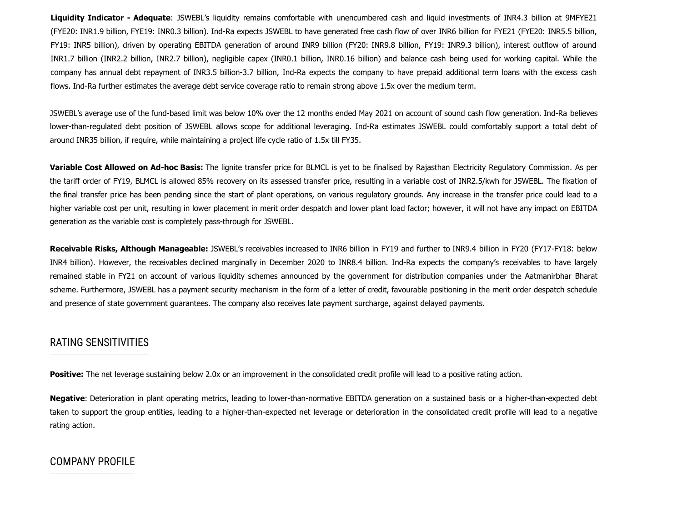**Liquidity Indicator - Adequate**: JSWEBL's liquidity remains comfortable with unencumbered cash and liquid investments of INR4.3 billion at 9MFYE21 (FYE20: INR1.9 billion, FYE19: INR0.3 billion). Ind-Ra expects JSWEBL to have generated free cash flow of over INR6 billion for FYE21 (FYE20: INR5.5 billion, FY19: INR5 billion), driven by operating EBITDA generation of around INR9 billion (FY20: INR9.8 billion, FY19: INR9.3 billion), interest outflow of around INR1.7 billion (INR2.2 billion, INR2.7 billion), negligible capex (INR0.1 billion, INR0.16 billion) and balance cash being used for working capital. While the company has annual debt repayment of INR3.5 billion-3.7 billion, Ind-Ra expects the company to have prepaid additional term loans with the excess cash flows. Ind-Ra further estimates the average debt service coverage ratio to remain strong above 1.5x over the medium term.

JSWEBL's average use of the fund-based limit was below 10% over the 12 months ended May 2021 on account of sound cash flow generation. Ind-Ra believes lower-than-regulated debt position of JSWEBL allows scope for additional leveraging. Ind-Ra estimates JSWEBL could comfortably support a total debt of around INR35 billion, if require, while maintaining a project life cycle ratio of 1.5x till FY35.

**Variable Cost Allowed on Ad-hoc Basis:** The lignite transfer price for BLMCL is yet to be finalised by Rajasthan Electricity Regulatory Commission. As per the tariff order of FY19, BLMCL is allowed 85% recovery on its assessed transfer price, resulting in a variable cost of INR2.5/kwh for JSWEBL. The fixation of the final transfer price has been pending since the start of plant operations, on various regulatory grounds. Any increase in the transfer price could lead to a higher variable cost per unit, resulting in lower placement in merit order despatch and lower plant load factor; however, it will not have any impact on EBITDA generation as the variable cost is completely pass-through for JSWEBL.

**Receivable Risks, Although Manageable:** JSWEBL's receivables increased to INR6 billion in FY19 and further to INR9.4 billion in FY20 (FY17-FY18: below INR4 billion). However, the receivables declined marginally in December 2020 to INR8.4 billion. Ind-Ra expects the company's receivables to have largely remained stable in FY21 on account of various liquidity schemes announced by the government for distribution companies under the Aatmanirbhar Bharat scheme. Furthermore, JSWEBL has a payment security mechanism in the form of a letter of credit, favourable positioning in the merit order despatch schedule and presence of state government guarantees. The company also receives late payment surcharge, against delayed payments.

### RATING SENSITIVITIES

Positive: The net leverage sustaining below 2.0x or an improvement in the consolidated credit profile will lead to a positive rating action.

**Negative**: Deterioration in plant operating metrics, leading to lower-than-normative EBITDA generation on a sustained basis or a higher-than-expected debt taken to support the group entities, leading to a higher-than-expected net leverage or deterioration in the consolidated credit profile will lead to a negative rating action.

#### COMPANY PROFILE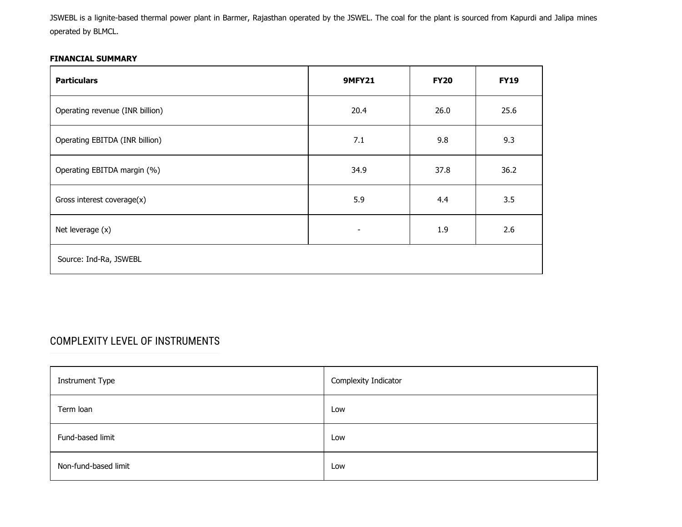JSWEBL is a lignite-based thermal power plant in Barmer, Rajasthan operated by the JSWEL. The coal for the plant is sourced from Kapurdi and Jalipa mines operated by BLMCL.

#### **FINANCIAL SUMMARY**

| <b>Particulars</b>              | <b>9MFY21</b>            | <b>FY20</b> | <b>FY19</b> |  |  |
|---------------------------------|--------------------------|-------------|-------------|--|--|
| Operating revenue (INR billion) | 20.4                     | 26.0        | 25.6        |  |  |
| Operating EBITDA (INR billion)  | 7.1                      | 9.8         | 9.3         |  |  |
| Operating EBITDA margin (%)     | 34.9                     | 37.8        | 36.2        |  |  |
| Gross interest coverage(x)      | 5.9                      | 4.4         | 3.5         |  |  |
| Net leverage (x)                | $\overline{\phantom{a}}$ | 1.9         | 2.6         |  |  |
| Source: Ind-Ra, JSWEBL          |                          |             |             |  |  |

# COMPLEXITY LEVEL OF INSTRUMENTS

| <b>Instrument Type</b> | Complexity Indicator |
|------------------------|----------------------|
| Term loan              | Low                  |
| Fund-based limit       | Low                  |
| Non-fund-based limit   | Low                  |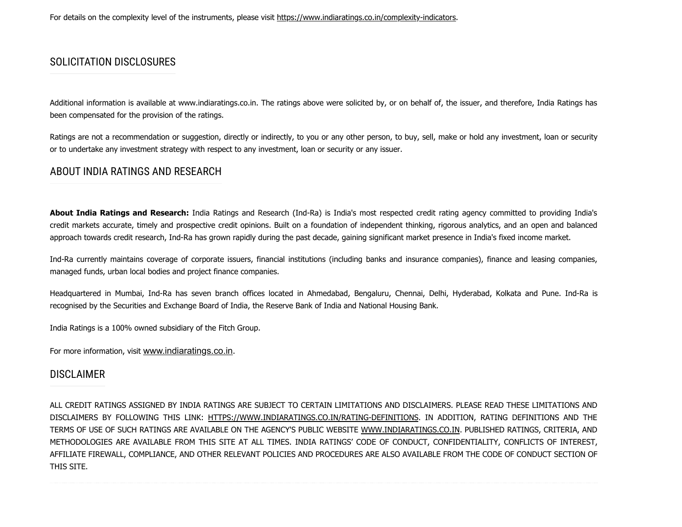# SOLICITATION DISCLOSURES

Additional information is available at www.indiaratings.co.in. The ratings above were solicited by, or on behalf of, the issuer, and therefore, India Ratings has been compensated for the provision of the ratings.

Ratings are not a recommendation or suggestion, directly or indirectly, to you or any other person, to buy, sell, make or hold any investment, loan or security or to undertake any investment strategy with respect to any investment, loan or security or any issuer.

# ABOUT INDIA RATINGS AND RESEARCH

**About India Ratings and Research:** India Ratings and Research (Ind-Ra) is India's most respected credit rating agency committed to providing India's credit markets accurate, timely and prospective credit opinions. Built on a foundation of independent thinking, rigorous analytics, and an open and balanced approach towards credit research, Ind-Ra has grown rapidly during the past decade, gaining significant market presence in India's fixed income market.

Ind-Ra currently maintains coverage of corporate issuers, financial institutions (including banks and insurance companies), finance and leasing companies, managed funds, urban local bodies and project finance companies.

Headquartered in Mumbai, Ind-Ra has seven branch offices located in Ahmedabad, Bengaluru, Chennai, Delhi, Hyderabad, Kolkata and Pune. Ind-Ra is recognised by the Securities and Exchange Board of India, the Reserve Bank of India and National Housing Bank.

India Ratings is a 100% owned subsidiary of the Fitch Group.

For more information, visit [www.indiaratings.co.in](http://www.indiaratings.co.in/).

## DISCLAIMER

ALL CREDIT RATINGS ASSIGNED BY INDIA RATINGS ARE SUBJECT TO CERTAIN LIMITATIONS AND DISCLAIMERS. PLEASE READ THESE LIMITATIONS AND DISCLAIMERS BY FOLLOWING THIS LINK: [HTTPS://WWW.INDIARATINGS.CO.IN/RATING-DEFINITIONS.](https://www.indiaratings.co.in/rating-definitions) IN ADDITION, RATING DEFINITIONS AND THE TERMS OF USE OF SUCH RATINGS ARE AVAILABLE ON THE AGENCY'S PUBLIC WEBSITE [WWW.INDIARATINGS.CO.IN.](http://www.indiaratings.co.in/) PUBLISHED RATINGS, CRITERIA, AND METHODOLOGIES ARE AVAILABLE FROM THIS SITE AT ALL TIMES. INDIA RATINGS' CODE OF CONDUCT, CONFIDENTIALITY, CONFLICTS OF INTEREST, AFFILIATE FIREWALL, COMPLIANCE, AND OTHER RELEVANT POLICIES AND PROCEDURES ARE ALSO AVAILABLE FROM THE CODE OF CONDUCT SECTION OF THIS SITE.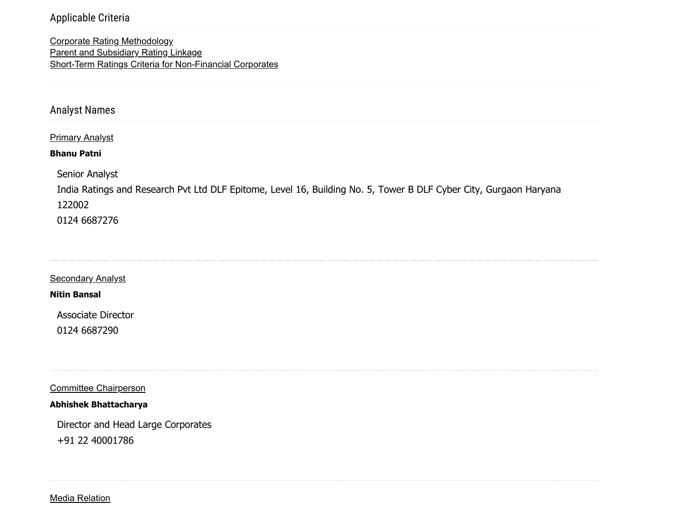## Applicable Criteria

[Corporate Rating Methodology](https://www.indiaratings.co.in/Uploads/CriteriaReport/CorporateRatingMethodology.pdf) [Parent and Subsidiary Rating Linkage](https://www.indiaratings.co.in/Uploads/CriteriaReport/Parent%20and%20Subsidiary%20Linkage%20Criteria.pdf) [Short-Term Ratings Criteria for Non-Financial Corporates](https://www.indiaratings.co.in/Uploads/CriteriaReport/Short%20Term%20Rating%20Criteria.pdf)

Analyst Names

#### **Primary Analyst**

#### **Bhanu Patni**

Senior Analyst

India Ratings and Research Pvt Ltd DLF Epitome, Level 16, Building No. 5, Tower B DLF Cyber City, Gurgaon Haryana 122002 0124 6687276

**Secondary Analyst** 

**Nitin Bansal**

Associate Director 0124 6687290

Committee Chairperson

**Abhishek Bhattacharya**

Director and Head Large Corporates +91 22 40001786

Media Relation